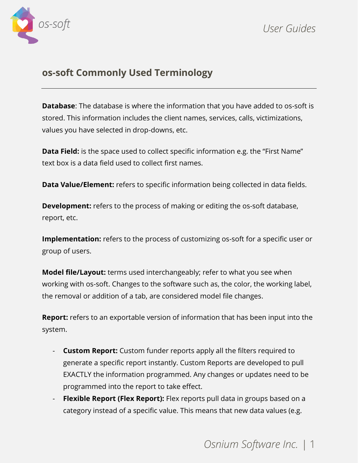

## **os-soft Commonly Used Terminology**

**Database**: The database is where the information that you have added to os-soft is stored. This information includes the client names, services, calls, victimizations, values you have selected in drop-downs, etc.

**Data Field:** is the space used to collect specific information e.g. the "First Name" text box is a data field used to collect first names.

**Data Value/Element:** refers to specific information being collected in data fields.

**Development:** refers to the process of making or editing the os-soft database, report, etc.

**Implementation:** refers to the process of customizing os-soft for a specific user or group of users.

**Model file/Layout:** terms used interchangeably; refer to what you see when working with os-soft. Changes to the software such as, the color, the working label, the removal or addition of a tab, are considered model file changes.

**Report:** refers to an exportable version of information that has been input into the system.

- **Custom Report:** Custom funder reports apply all the filters required to generate a specific report instantly. Custom Reports are developed to pull EXACTLY the information programmed. Any changes or updates need to be programmed into the report to take effect.
- **Flexible Report (Flex Report):** Flex reports pull data in groups based on a category instead of a specific value. This means that new data values (e.g.